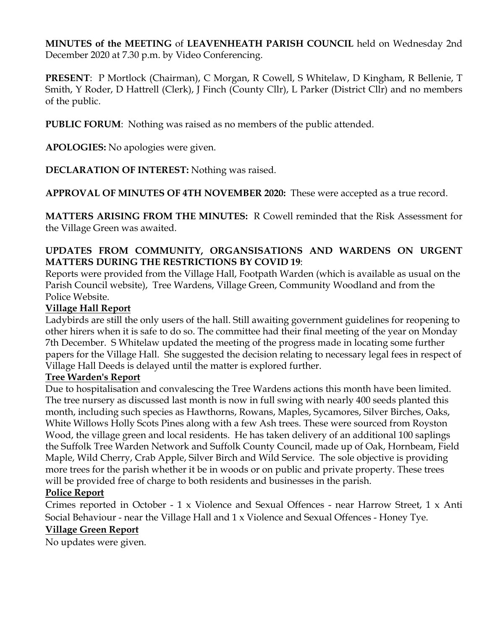**MINUTES of the MEETING** of **LEAVENHEATH PARISH COUNCIL** held on Wednesday 2nd December 2020 at 7.30 p.m. by Video Conferencing.

**PRESENT**: P Mortlock (Chairman), C Morgan, R Cowell, S Whitelaw, D Kingham, R Bellenie, T Smith, Y Roder, D Hattrell (Clerk), J Finch (County Cllr), L Parker (District Cllr) and no members of the public.

**PUBLIC FORUM**: Nothing was raised as no members of the public attended.

**APOLOGIES:** No apologies were given.

**DECLARATION OF INTEREST:** Nothing was raised.

**APPROVAL OF MINUTES OF 4TH NOVEMBER 2020:** These were accepted as a true record.

**MATTERS ARISING FROM THE MINUTES:** R Cowell reminded that the Risk Assessment for the Village Green was awaited.

### **UPDATES FROM COMMUNITY, ORGANSISATIONS AND WARDENS ON URGENT MATTERS DURING THE RESTRICTIONS BY COVID 19**:

Reports were provided from the Village Hall, Footpath Warden (which is available as usual on the Parish Council website), Tree Wardens, Village Green, Community Woodland and from the Police Website.

### **Village Hall Report**

Ladybirds are still the only users of the hall. Still awaiting government guidelines for reopening to other hirers when it is safe to do so. The committee had their final meeting of the year on Monday 7th December. S Whitelaw updated the meeting of the progress made in locating some further papers for the Village Hall. She suggested the decision relating to necessary legal fees in respect of Village Hall Deeds is delayed until the matter is explored further.

### **Tree Warden's Report**

Due to hospitalisation and convalescing the Tree Wardens actions this month have been limited. The tree nursery as discussed last month is now in full swing with nearly 400 seeds planted this month, including such species as Hawthorns, Rowans, Maples, Sycamores, Silver Birches, Oaks, White Willows Holly Scots Pines along with a few Ash trees. These were sourced from Royston Wood, the village green and local residents. He has taken delivery of an additional 100 saplings the Suffolk Tree Warden Network and Suffolk County Council, made up of Oak, Hornbeam, Field Maple, Wild Cherry, Crab Apple, Silver Birch and Wild Service. The sole objective is providing more trees for the parish whether it be in woods or on public and private property. These trees will be provided free of charge to both residents and businesses in the parish.

### **Police Report**

Crimes reported in October - 1 x Violence and Sexual Offences - near Harrow Street, 1 x Anti Social Behaviour - near the Village Hall and 1 x Violence and Sexual Offences - Honey Tye.

### **Village Green Report**

No updates were given.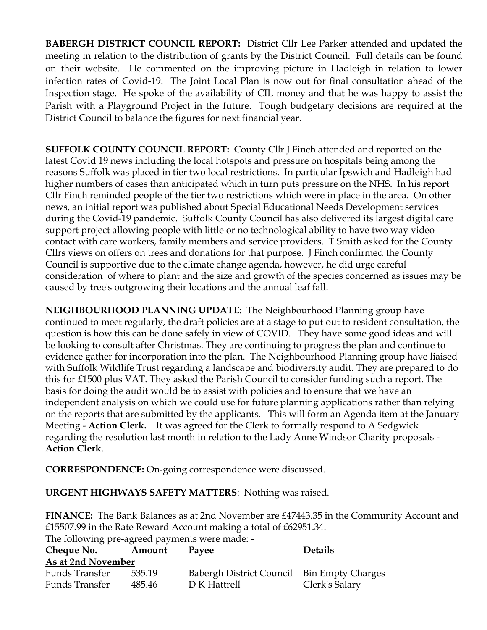**BABERGH DISTRICT COUNCIL REPORT:** District Cllr Lee Parker attended and updated the meeting in relation to the distribution of grants by the District Council. Full details can be found on their website. He commented on the improving picture in Hadleigh in relation to lower infection rates of Covid-19. The Joint Local Plan is now out for final consultation ahead of the Inspection stage. He spoke of the availability of CIL money and that he was happy to assist the Parish with a Playground Project in the future. Tough budgetary decisions are required at the District Council to balance the figures for next financial year.

**SUFFOLK COUNTY COUNCIL REPORT:** County Cllr J Finch attended and reported on the latest Covid 19 news including the local hotspots and pressure on hospitals being among the reasons Suffolk was placed in tier two local restrictions. In particular Ipswich and Hadleigh had higher numbers of cases than anticipated which in turn puts pressure on the NHS. In his report Cllr Finch reminded people of the tier two restrictions which were in place in the area. On other news, an initial report was published about Special Educational Needs Development services during the Covid-19 pandemic. Suffolk County Council has also delivered its largest digital care support project allowing people with little or no technological ability to have two way video contact with care workers, family members and service providers. T Smith asked for the County Cllrs views on offers on trees and donations for that purpose. J Finch confirmed the County Council is supportive due to the climate change agenda, however, he did urge careful consideration of where to plant and the size and growth of the species concerned as issues may be caused by tree's outgrowing their locations and the annual leaf fall.

**NEIGHBOURHOOD PLANNING UPDATE:** The Neighbourhood Planning group have continued to meet regularly, the draft policies are at a stage to put out to resident consultation, the question is how this can be done safely in view of COVID. They have some good ideas and will be looking to consult after Christmas. They are continuing to progress the plan and continue to evidence gather for incorporation into the plan. The Neighbourhood Planning group have liaised with Suffolk Wildlife Trust regarding a landscape and biodiversity audit. They are prepared to do this for £1500 plus VAT. They asked the Parish Council to consider funding such a report. The basis for doing the audit would be to assist with policies and to ensure that we have an independent analysis on which we could use for future planning applications rather than relying on the reports that are submitted by the applicants. This will form an Agenda item at the January Meeting - **Action Clerk.** It was agreed for the Clerk to formally respond to A Sedgwick regarding the resolution last month in relation to the Lady Anne Windsor Charity proposals - **Action Clerk**.

**CORRESPONDENCE:** On-going correspondence were discussed.

**URGENT HIGHWAYS SAFETY MATTERS**: Nothing was raised.

**FINANCE:** The Bank Balances as at 2nd November are £47443.35 in the Community Account and £15507.99 in the Rate Reward Account making a total of £62951.34. The following pre-agreed payments were made: -

| Cheque No.         | Amount | Payee                                      | <b>Details</b> |
|--------------------|--------|--------------------------------------------|----------------|
| As at 2nd November |        |                                            |                |
| Funds Transfer     | 535.19 | Babergh District Council Bin Empty Charges |                |
| Funds Transfer     | 485.46 | D K Hattrell                               | Clerk's Salary |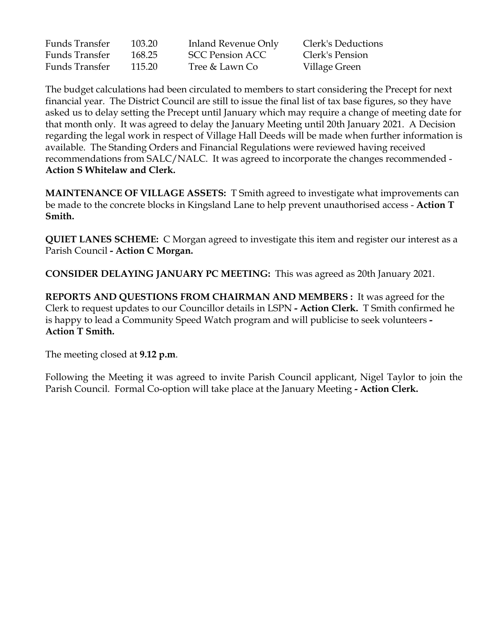| <b>Funds Transfer</b><br><b>Funds Transfer</b> | 103.20<br>168.25 | Inland Revenue Only<br><b>SCC Pension ACC</b> | Clerk's Deductions<br>Clerk's Pension |
|------------------------------------------------|------------------|-----------------------------------------------|---------------------------------------|
|                                                |                  |                                               |                                       |

The budget calculations had been circulated to members to start considering the Precept for next financial year. The District Council are still to issue the final list of tax base figures, so they have asked us to delay setting the Precept until January which may require a change of meeting date for that month only. It was agreed to delay the January Meeting until 20th January 2021. A Decision regarding the legal work in respect of Village Hall Deeds will be made when further information is available. The Standing Orders and Financial Regulations were reviewed having received recommendations from SALC/NALC. It was agreed to incorporate the changes recommended - **Action S Whitelaw and Clerk.**

**MAINTENANCE OF VILLAGE ASSETS:** T Smith agreed to investigate what improvements can be made to the concrete blocks in Kingsland Lane to help prevent unauthorised access - **Action T Smith.** 

**QUIET LANES SCHEME:** C Morgan agreed to investigate this item and register our interest as a Parish Council **- Action C Morgan.**

**CONSIDER DELAYING JANUARY PC MEETING:** This was agreed as 20th January 2021.

**REPORTS AND QUESTIONS FROM CHAIRMAN AND MEMBERS :** It was agreed for the Clerk to request updates to our Councillor details in LSPN **- Action Clerk.** T Smith confirmed he is happy to lead a Community Speed Watch program and will publicise to seek volunteers **- Action T Smith.** 

The meeting closed at **9.12 p.m**.

Following the Meeting it was agreed to invite Parish Council applicant, Nigel Taylor to join the Parish Council. Formal Co-option will take place at the January Meeting **- Action Clerk.**